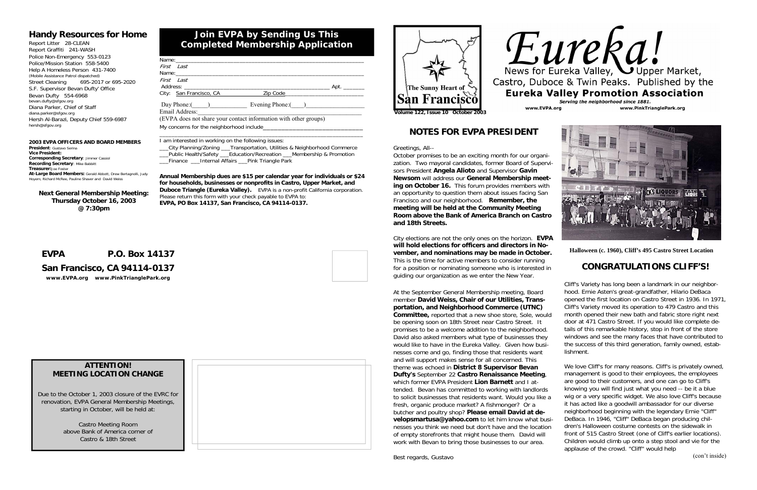| Day Phone: ( ) Evening Phone: ( ) |
|-----------------------------------|
|                                   |
|                                   |
|                                   |
|                                   |

\_\_\_City Planning/Zoning \_\_\_Transportation, Utilities & Neighborhood Commerce \_\_\_Public Health/Safety \_\_\_Education/Recreation \_\_\_Membership & Promotion Finance Linternal Affairs Pink Triangle Park

\_\_\_\_\_\_\_\_\_\_\_\_\_\_\_\_\_\_\_\_\_\_\_\_\_\_\_\_\_\_\_\_\_\_\_\_\_\_\_\_\_\_\_\_\_\_\_\_\_\_\_\_\_\_\_\_\_\_\_\_\_\_\_\_\_\_\_

I am interested in working on the following issues:

**Annual Membership dues are \$15 per calendar year for individuals or \$24 for households, businesses or nonprofits in Castro, Upper Market, and Duboce Triangle (Eureka Valley).** EVPA is a non-profit California corporation. Please return this form with your check payable to EVPA to: **EVPA, PO Box 14137, San Francisco, CA 94114-0137.**

#### **2003 EVPA OFFICERS AND BOARD MEMBERS President**: Gustavo Serina**Vice President:Corresponding Secretary**: Jimmer Cassiol **Recording Secretary**: Mike Babbitt **Treasurer:**Joe Foster **At-Large Board Members:** Gerald Abbott, Drew Bertagnolli, Judy Richard McRee, Pauline Shaver and David Weiss

# **Join EVPA by Sending Us This Completed Membership Application**

## **Handy Resources for Home**

Report Litter 28-CLEAN Report Graffiti 241-WASH Police Non-Emergency 553-0123 Police/Mission Station 558-5400 Help A Homeless Person 431-7400 (Mobile Assistance Patrol dispatched) Street Cleaning 695-2017 or 695-2020 S.F. Supervisor Bevan Dufty' Office Bevan Dufty 554-6968 bevan.dufty@sfgov.org Diana Parker, Chief of Staff diana.parker@sfgov.org Hersh Al-Barazi, Deputy Chief 559-6987 hersh@sfgov.org

# **EVPA P.O. Box 14137**

# **San Francisco, CA 94114-0137**

*www.EVPA.org www.PinkTrianglePark.org*







### **ATTENTION! MEETING LOCATION CHANGE**

Due to the October 1, 2003 closure of the EVRC for renovation, EVPA General Membership Meetings, starting in October, will be held at:

> Castro Meeting Room above Bank of America corner of Castro & 18th Street

**Next General Membership Meeting: Thursday October 16, 2003 @ 7:30pm** 

# **NOTES FOR EVPA PRESIDENT**

Greetings, All--

October promises to be an exciting month for our organization. Two mayoral candidates, former Board of Supervisors President **Angela Alioto** and Supervisor **Gavin Newsom** will address our **General Membership meeting on October 16.** This forum provides members with an opportunity to question them about issues facing San Francisco and our neighborhood. **Remember, the meeting will be held at the Community Meeting Room above the Bank of America Branch on Castro and 18th Streets.** 

> We love Cliff's for many reasons. Cliff's is privately owned, management is good to their employees, the employees are good to their customers, and one can go to Cliff's knowing you will find just what you need -- be it a blue wig or a very specific widget. We also love Cliff's because it has acted like a goodwill ambassador for our diverse neighborhood beginning with the legendary Ernie "Cliff" DeBaca. In 1946, "Cliff" DeBaca began producing children's Halloween costume contests on the sidewalk in front of 515 Castro Street (one of Cliff's earlier locations). Children would climb up onto a step stool and vie for the applause of the crowd. "Cliff" would help

City elections are not the only ones on the horizon. **EVPA will hold elections for officers and directors in November, and nominations may be made in October.** This is the time for active members to consider running for a position or nominating someone who is interested in guiding our organization as we enter the New Year.

At the September General Membership meeting, Board member **David Weiss, Chair of our Utilities, Transportation, and Neighborhood Commerce (UTNC) Committee,** reported that a new shoe store, Sole, would be opening soon on 18th Street near Castro Street. It promises to be a welcome addition to the neighborhood. David also asked members what type of businesses they would like to have in the Eureka Valley. Given how businesses come and go, finding those that residents want and will support makes sense for all concerned. This theme was echoed in **District 8 Supervisor Bevan Dufty's** September 22 **Castro Renaissance Meeting**, which former EVPA President **Lion Barnett** and I attended. Bevan has committed to working with landlords to solicit businesses that residents want. Would you like a fresh, organic produce market? A fishmonger? Or a butcher and poultry shop? **Please email David at developsmartusa@yahoo.com** to let him know what businesses you think we need but don't have and the location of empty storefronts that might house them. David will work with Bevan to bring those businesses to our area.



# **CONGRATULATIONS CLIFF'S!**

Cliff's Variety has long been a landmark in our neighborhood. Ernie Asten's great-grandfather, Hilario DeBaca opened the first location on Castro Street in 1936. In 1971, Cliff's Variety moved its operation to 479 Castro and this month opened their new bath and fabric store right next door at 471 Castro Street. If you would like complete details of this remarkable history, stop in front of the store windows and see the many faces that have contributed to the success of this third generation, family owned, establishment.

(con't inside)

**Halloween (c. 1960), Cliff's 495 Castro Street Location**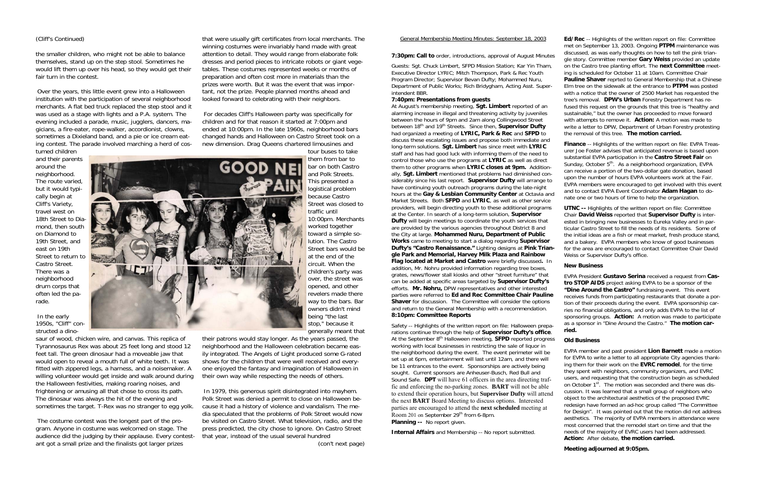#### General Membership Meeting Minutes: September 18, 2003

**7:30pm: Call to** order, introductions, approval of August Minutes

Guests: Sgt. Chuck Limbert, SFPD Mission Station; Kar Yin Tham, Executive Director LYRIC; Mitch Thompson, Park & Rec Youth Program Director; Supervisor Bevan Dufty; Mohammed Nuru, Department of Public Works; Rich Bridygham, Acting Asst. Superintendent BBR.

#### **7:40pm: Presentations from guests**

At August's membership meeting, **Sgt. Limbert** reported of an alarming increase in illegal and threatening activity by juveniles between the hours of 9pm and 2am along Collingwood Street between 18<sup>th</sup> and 19<sup>th</sup> Streets. Since then, **Supervisor Dufty** had organized a meeting of **LYRIC, Park & Rec** and **SFPD** to discuss these escalating issues and propose both immediate and long-term solutions. **Sgt. Limbert** has since meet with **LYRIC**  staff and has had good luck with informing them of the need to control those who use the programs at **LYRIC** as well as direct them to other programs when **LYRIC closes at 9pm.** Additionally, **Sgt. Limbert** mentioned that problems had diminished considerably since his last report. **Supervisor Dufty** will arrange to have continuing youth outreach programs during the late-night hours at the **Gay & Lesbian Community Center** at Octavia and Market Streets. Both **SFPD** and **LYRIC**, as well as other service providers, will begin directing youth to these additional programs at the Center. In search of a long-term solution, **Supervisor Dufty** will begin meetings to coordinate the youth services that are provided by the various agencies throughout District 8 and the City at large. **Mohammed Nuru, Department of Public Works** came to meeting to start a dialog regarding **Supervisor Dufty's "Castro Renaissance."** Lighting designs at **Pink Triangle Park and Memorial, Harvey Milk Plaza and Rainbow Flag located at Market and Castro** were briefly discussed**.** In addition, Mr. Nohru provided information regarding tree boxes, grates, news/flower stall kiosks and other "street furniture" that can be added at specific areas targeted by **Supervisor Dufty's** efforts. **Mr. Nohru,** DPW representatives and other interested parties were referred to **Ed and Rec Committee Chair Pauline Shaver** for discussion. The Committee will consider the options and return to the General Membership with a recommendation. **8:10pm: Committee Reports** 

Safety -- Highlights of the written report on file: Halloween preparations continue through the help of **Supervisor Dufty's office**. At the September 8<sup>th</sup> Halloween meeting, **SFPD** reported progress working with local businesses in restricting the sale of liquor in the neighborhood during the event. The event perimeter will be set up at 6pm, entertainment will last until 12am, and there will be 11 entrances to the event. Sponsorships are actively being sought. Current sponsors are Anheuser-Busch, Red Bull and Sound Safe. **DPT** will have 61 officers in the area directing traffic and enforcing the no-parking zones. **BART** will not be able to extend their operation hours, but **Supervisor Dufty** will attend the next **BART** Board Meeting to discuss options. Interested parties are encouraged to attend the **next scheduled** meeting at Room 201 on September 29<sup>th</sup> from 6-8pm. **Planning --** No report given.

**Internal Affairs** and Membership -- No report submitted.



**Ed/Rec** -- Highlights of the written report on file: Committee met on September 13, 2003. Ongoing **PTPM** maintenance was discussed, as was early thoughts on how to tell the pink triangle story. Committee member **Gary Weiss** provided an update on the Castro tree planting effort. The **next Committee** meeting is scheduled for October 11 at 10am. Committee Chair **Pauline Shaver** reprted to General Membership that a Chinese Elm tree on the sidewalk at the entrance to **PTPM** was posted with a notice that the owner of 2500 Market has requested the tree's removal. **DPW's Urban** Forestry Department has refused this request on the grounds that this tree is "healthy and sustainable," but the owner has proceeded to move forward with attempts to remove it. **Action:** A motion was made to write a letter to DPW, Department of Urban Forestry protesting the removal of this tree. **The motion carried.**

**Finance** -- Highlights of the written report on file: EVPA Treasurer Joe Foster advises that anticipated revenue is based upon substantial EVPA participation in the **Castro Street Fair** on Sunday, October  $5<sup>th</sup>$ . As a neighborhood organization, EVPA can receive a portion of the two-dollar gate donation, based upon the number of hours EVPA volunteers work at the Fair. EVPA members were encouraged to get involved with this event and to contact EVPA Event Coordinator **Adam Hagan** to donate one or two hours of time to help the organization.

**UTNC --** Highlights of the written report on file: Committee Chair **David Weiss** reported that **Supervisor Dufty** is interested in bringing new businesses to Eureka Valley and in particular Castro Street to fill the needs of its residents. Some of the initial ideas are a fish or meat market, fresh produce stand, and a bakery. EVPA members who know of good businesses for the area are encouraged to contact Committee Chair David Weiss or Supervisor Dufty's office.

#### **New Business**

EVPA President **Gustavo Serina** received a request from **Castro STOP AIDS** project asking EVPA to be a sponsor of the **"Dine Around the Castro"** fundraising event. This event receives funds from participating restaurants that donate a portion of their proceeds during the event. EVPA sponsorship carries no financial obligations, and only adds EVPA to the list of sponsoring groups. **Action:** A motion was made to participate as a sponsor in "Dine Around the Castro." **The motion carried.** 

#### **Old Business**

EVPA member and past president **Lion Barnett** made a motion for EVPA to write a letter to all appropriate City agencies thanking them for their work on the **EVRC remodel**, for the time they spent with neighbors, community organizers, and EVRC users, and requesting that the construction begin as scheduled on October 1<sup>st</sup>. The motion was seconded and there was discussion. It was learned that a small group of neighbors who object to the architectural aesthetics of the proposed EVRC redesign have formed an ad-hoc group called "The Committee for Design". It was pointed out that the motion did not address aesthetics. The majority of EVPA members in attendance were most concerned that the remodel start on time and that the needs of the majority of EVRC users had been addressed. **Action:** After debate, **the motion carried.**

#### **Meeting adjourned at 9:05pm.**

#### (Cliff's Continued)

the smaller children, who might not be able to balance themselves, stand up on the step stool. Sometimes he would lift them up over his head, so they would get their fair turn in the contest.

Over the years, this little event grew into a Halloween institution with the participation of several neighborhood merchants. A flat bed truck replaced the step stool and it was used as a stage with lights and a P.A. system. The evening included a parade, music, jugglers, dancers, magicians, a fire-eater, rope-walker, accordionist, clowns, sometimes a Dixieland band, and a pie or ice cream eating contest. The parade involved marching a herd of cos-

tumed children and their parents around the neighborhood. The route varied, but it would typically begin at Cliff's Variety, travel west on 18th Street to Diamond, then south on Diamond to 19th Street, and east on 19th Street to return to Castro Street. There was a neighborhood drum corps that often led the parade.

In the early 1950s, "Cliff" constructed a dino-

saur of wood, chicken wire, and canvas. This replica of Tyrannosaurus Rex was about 25 feet long and stood 12 feet tall. The green dinosaur had a moveable jaw that would open to reveal a mouth full of white teeth. It was fitted with zippered legs, a harness, and a noisemaker. A willing volunteer would get inside and walk around during the Halloween festivities, making roaring noises, and frightening or amusing all that chose to cross its path. The dinosaur was always the hit of the evening and sometimes the target. T-Rex was no stranger to egg yolk.

The costume contest was the longest part of the program. Anyone in costume was welcomed on stage. The audience did the judging by their applause. Every contestant got a small prize and the finalists got larger prizes

that were usually gift certificates from local merchants. The winning costumes were invariably hand made with great attention to detail. They would range from elaborate folk dresses and period pieces to intricate robots or giant vegetables. These costumes represented weeks or months of preparation and often cost more in materials than the prizes were worth. But it was the event that was important, not the prize. People planned months ahead and looked forward to celebrating with their neighbors.

For decades Cliff's Halloween party was specifically for children and for that reason it started at 7:00pm and ended at 10:00pm. In the late 1960s, neighborhood bars changed hands and Halloween on Castro Street took on a new dimension. Drag Queens chartered limousines and

tour buses to take them from bar to bar on both Castro and Polk Streets. This presented a logistical problem because Castro Street was closed to traffic until 10:00pm. Merchants worked together toward a simple solution. The Castro Street bars would be at the end of the circuit. When the children's party was over, the street was opened, and other revelers made there way to the bars. Bar owners didn't mind being "the last stop," because it generally meant that

their patrons would stay longer. As the years passed, the neighborhood and the Halloween celebration became easily integrated. The Angels of Light produced some G-rated shows for the children that were well received and everyone enjoyed the fantasy and imagination of Halloween in their own way while respecting the needs of others.

In 1979, this generous spirit disintegrated into mayhem. Polk Street was denied a permit to close on Halloween because it had a history of violence and vandalism. The media speculated that the problems of Polk Street would now be visited on Castro Street. What television, radio, and the press predicted, the city chose to ignore. On Castro Street that year, instead of the usual several hundred

(con't next page)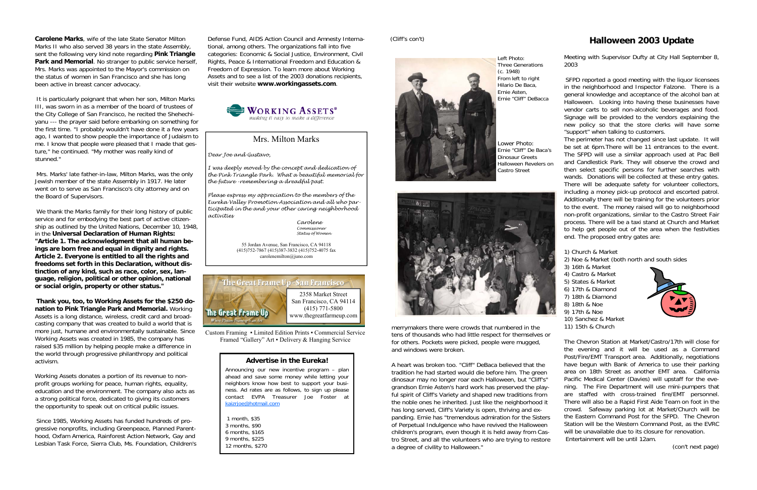# **Halloween 2003 Update**

Meeting with Supervisor Dufty at City Hall September 8, 2003

SFPD reported a good meeting with the liquor licensees in the neighborhood and Inspector Falzone. There is a general knowledge and acceptance of the alcohol ban at Halloween. Looking into having these businesses have vendor carts to sell non-alcoholic beverages and food. Signage will be provided to the vendors explaining the new policy so that the store clerks will have some "support" when talking to customers.

The perimeter has not changed since last update. It will be set at 6pm.There will be 11 entrances to the event. The SFPD will use a similar approach used at Pac Bell and Candlestick Park. They will observe the crowd and then select specific persons for further searches with wands. Donations will be collected at these entry gates. There will be adequate safety for volunteer collectors, including a money pick-up protocol and escorted patrol. Additionally there will be training for the volunteers prior to the event. The money raised will go to neighborhood non-profit organizations, similar to the Castro Street Fair process. There will be a taxi stand at Church and Market to help get people out of the area when the festivities end. The proposed entry gates are:

1) Church & Market 2) Noe & Market (both north and south sides 3) 16th & Market 4) Castro & Market 5) States & Market 6) 17th & Diamond 7) 18th & Diamond 8) 18th & Noe 9) 17th & Noe 10) Sanchez & Market 11) 15th & Church

The Chevron Station at Market/Castro/17th will close for the evening and it will be used as a Command Post/Fire/EMT Transport area. Additionally, negotiations have begun with Bank of America to use their parking area on 18th Street as another EMT area. California Pacific Medical Center (Davies) will upstaff for the evening. The Fire Department will use mini-pumpers that are staffed with cross-trained fire/EMT personnel. There will also be a Rapid First Aide Team on foot in the crowd. Safeway parking lot at Market/Church will be the Eastern Command Post for the SFPD. The Chevron Station will be the Western Command Post, as the EVRC will be unavailable due to its closure for renovation. Entertainment will be until 12am.

(con't next page)

merrymakers there were crowds that numbered in the tens of thousands who had little respect for themselves or for others. Pockets were picked, people were mugged, and windows were broken.

A heart was broken too. "Cliff" DeBaca believed that the tradition he had started would die before him. The green dinosaur may no longer roar each Halloween, but "Cliff's" grandson Ernie Asten's hard work has preserved the playful spirit of Cliff's Variety and shaped new traditions from the noble ones he inherited. Just like the neighborhood it has long served, Cliff's Variety is open, thriving and expanding. Ernie has "tremendous admiration for the Sisters of Perpetual Indulgence who have revived the Halloween children's program, even though it is held away from Castro Street, and all the volunteers who are trying to restore a degree of civility to Halloween."

(Cliff's con't)



Left Photo: Three Generations (c. 1948) From left to right Hilario De Baca, Ernie Asten, Ernie "Cliff" DeBacca

Lower Photo: Ernie "Cliff" De Baca's Dinosaur Greets Halloween Revelers on Castro Street



#### **Advertise in the Eureka!**

Custom Framing ▪ Limited Edition Prints ▪ Commercial Service Framed "Gallery" Art • Delivery & Hanging Service

> Announcing our new incentive program – plan ahead and save some money while letting your neighbors know how best to support your business. Ad rates are as follows, to sign up please contact EVPA Treasurer Joe Foster at kaizrjoe@hotmail.com

1 month, \$35 3 months, \$90 6 months, \$165 9 months, \$225 12 months, \$270

**Carolene Marks**, wife of the late State Senator Milton Marks II who also served 38 years in the state Assembly, sent the following very kind note regarding **Pink Triangle Park and Memorial**. No stranger to public service herself, Mrs. Marks was appointed to the Mayor's commission on the status of women in San Francisco and she has long been active in breast cancer advocacy.

It is particularly poignant that when her son, Milton Marks III, was sworn in as a member of the board of trustees of the City College of San Francisco, he recited the Shehechiyanu --- the prayer said before embarking on something for the first time. "I probably wouldn't have done it a few years ago, I wanted to show people the importance of Judaism to me. I know that people were pleased that I made that gesture," he continued. "My mother was really kind of stunned."

Mrs. Marks' late father-in-law, Milton Marks, was the only Jewish member of the state Assembly in 1917. He later went on to serve as San Francisco's city attorney and on the Board of Supervisors.

We thank the Marks family for their long history of public service and for embodying the best part of active citizenship as outlined by the United Nations, December 10, 1948, in the **Universal Declaration of Human Rights: "Article 1. The acknowledgment that all human beings are born free and equal in dignity and rights. Article 2. Everyone is entitled to all the rights and freedoms set forth in this Declaration, without distinction of any kind, such as race, color, sex, language, religion, political or other opinion, national or social origin, property or other status."** 

**Thank you, too, to Working Assets for the \$250 donation to Pink Triangle Park and Memorial.** Working Assets is a long distance, wireless, credit card and broadcasting company that was created to build a world that is more just, humane and environmentally sustainable. Since Working Assets was created in 1985, the company has raised \$35 million by helping people make a difference in the world through progressive philanthropy and political activism.

Working Assets donates a portion of its revenue to nonprofit groups working for peace, human rights, equality, education and the environment. The company also acts as a strong political force, dedicated to giving its customers the opportunity to speak out on critical public issues.

Since 1985, Working Assets has funded hundreds of progressive nonprofits, including Greenpeace, Planned Parenthood, Oxfam America, Rainforest Action Network, Gay and Lesbian Task Force, Sierra Club, Ms. Foundation, Children's Defense Fund, AIDS Action Council and Amnesty International, among others. The organizations fall into five categories: Economic & Social Justice, Environment, Civil Rights, Peace & International Freedom and Education & Freedom of Expression. To learn more about Working Assets and to see a list of the 2003 donations recipients, visit their website **www.workingassets.com**.





# Mrs. Milton Marks

*Dear Joe and Gustavo,* 

*I was deeply moved by the concept and dedication of the Pink Triangle Park. What a beautiful memorial for the future -remembering a dreadful past.* 

*Please express my appreciation to the members of the Eureka Valley Promotion Association and all who participated in the and your other caring neighborhood activities* 

> *Carolene Commissioner Status of Women*

55 Jordan Avenue, San Francisco, CA 94118 (415)752-7867 (415)387-3832 (415)752-4075 fax carolenemilton@juno.com